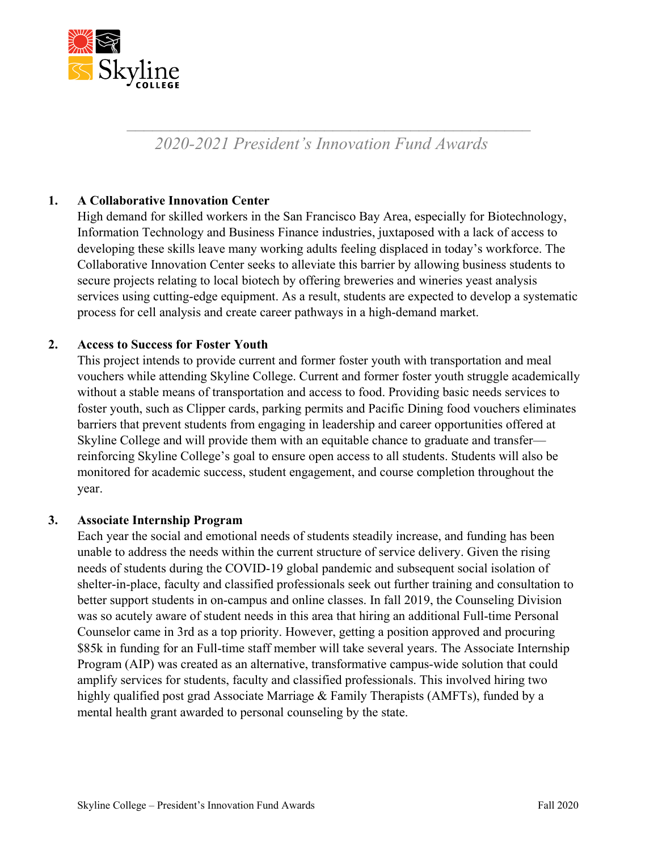

# *2020-2021 President's Innovation Fund Awards*

 $\mathcal{L}_\mathcal{L}$  , and the contribution of the contribution of the contribution of the contribution of the contribution of the contribution of the contribution of the contribution of the contribution of the contribution of

# **1. A Collaborative Innovation Center**

High demand for skilled workers in the San Francisco Bay Area, especially for Biotechnology, Information Technology and Business Finance industries, juxtaposed with a lack of access to developing these skills leave many working adults feeling displaced in today's workforce. The Collaborative Innovation Center seeks to alleviate this barrier by allowing business students to secure projects relating to local biotech by offering breweries and wineries yeast analysis services using cutting-edge equipment. As a result, students are expected to develop a systematic process for cell analysis and create career pathways in a high-demand market.

# **2. Access to Success for Foster Youth**

This project intends to provide current and former foster youth with transportation and meal vouchers while attending Skyline College. Current and former foster youth struggle academically without a stable means of transportation and access to food. Providing basic needs services to foster youth, such as Clipper cards, parking permits and Pacific Dining food vouchers eliminates barriers that prevent students from engaging in leadership and career opportunities offered at Skyline College and will provide them with an equitable chance to graduate and transfer reinforcing Skyline College's goal to ensure open access to all students. Students will also be monitored for academic success, student engagement, and course completion throughout the year.

#### **3. Associate Internship Program**

Each year the social and emotional needs of students steadily increase, and funding has been unable to address the needs within the current structure of service delivery. Given the rising needs of students during the COVID-19 global pandemic and subsequent social isolation of shelter-in-place, faculty and classified professionals seek out further training and consultation to better support students in on-campus and online classes. In fall 2019, the Counseling Division was so acutely aware of student needs in this area that hiring an additional Full-time Personal Counselor came in 3rd as a top priority. However, getting a position approved and procuring \$85k in funding for an Full-time staff member will take several years. The Associate Internship Program (AIP) was created as an alternative, transformative campus-wide solution that could amplify services for students, faculty and classified professionals. This involved hiring two highly qualified post grad Associate Marriage & Family Therapists (AMFTs), funded by a mental health grant awarded to personal counseling by the state.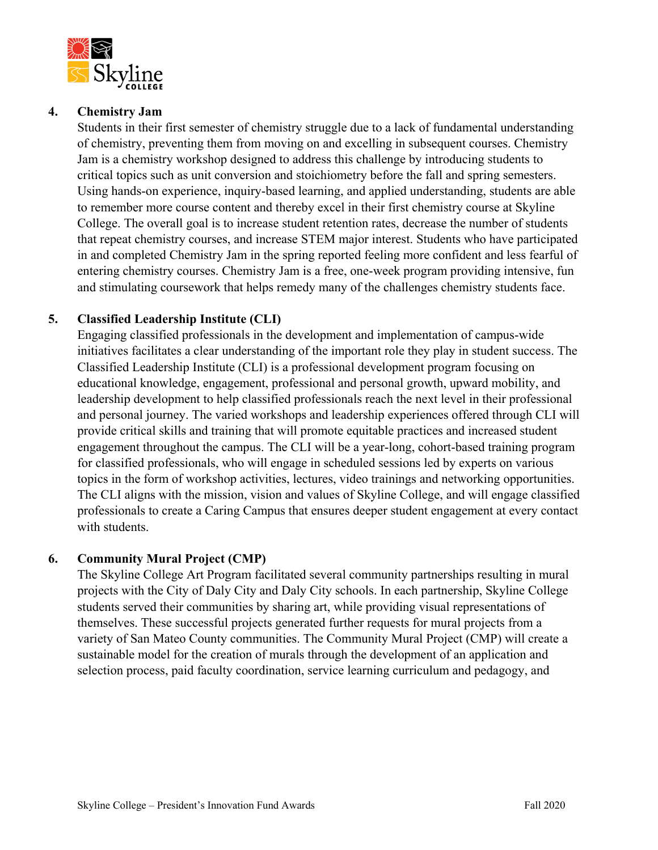

## **4. Chemistry Jam**

Students in their first semester of chemistry struggle due to a lack of fundamental understanding of chemistry, preventing them from moving on and excelling in subsequent courses. Chemistry Jam is a chemistry workshop designed to address this challenge by introducing students to critical topics such as unit conversion and stoichiometry before the fall and spring semesters. Using hands-on experience, inquiry-based learning, and applied understanding, students are able to remember more course content and thereby excel in their first chemistry course at Skyline College. The overall goal is to increase student retention rates, decrease the number of students that repeat chemistry courses, and increase STEM major interest. Students who have participated in and completed Chemistry Jam in the spring reported feeling more confident and less fearful of entering chemistry courses. Chemistry Jam is a free, one-week program providing intensive, fun and stimulating coursework that helps remedy many of the challenges chemistry students face.

# **5. Classified Leadership Institute (CLI)**

Engaging classified professionals in the development and implementation of campus-wide initiatives facilitates a clear understanding of the important role they play in student success. The Classified Leadership Institute (CLI) is a professional development program focusing on educational knowledge, engagement, professional and personal growth, upward mobility, and leadership development to help classified professionals reach the next level in their professional and personal journey. The varied workshops and leadership experiences offered through CLI will provide critical skills and training that will promote equitable practices and increased student engagement throughout the campus. The CLI will be a year-long, cohort-based training program for classified professionals, who will engage in scheduled sessions led by experts on various topics in the form of workshop activities, lectures, video trainings and networking opportunities. The CLI aligns with the mission, vision and values of Skyline College, and will engage classified professionals to create a Caring Campus that ensures deeper student engagement at every contact with students.

#### **6. Community Mural Project (CMP)**

The Skyline College Art Program facilitated several community partnerships resulting in mural projects with the City of Daly City and Daly City schools. In each partnership, Skyline College students served their communities by sharing art, while providing visual representations of themselves. These successful projects generated further requests for mural projects from a variety of San Mateo County communities. The Community Mural Project (CMP) will create a sustainable model for the creation of murals through the development of an application and selection process, paid faculty coordination, service learning curriculum and pedagogy, and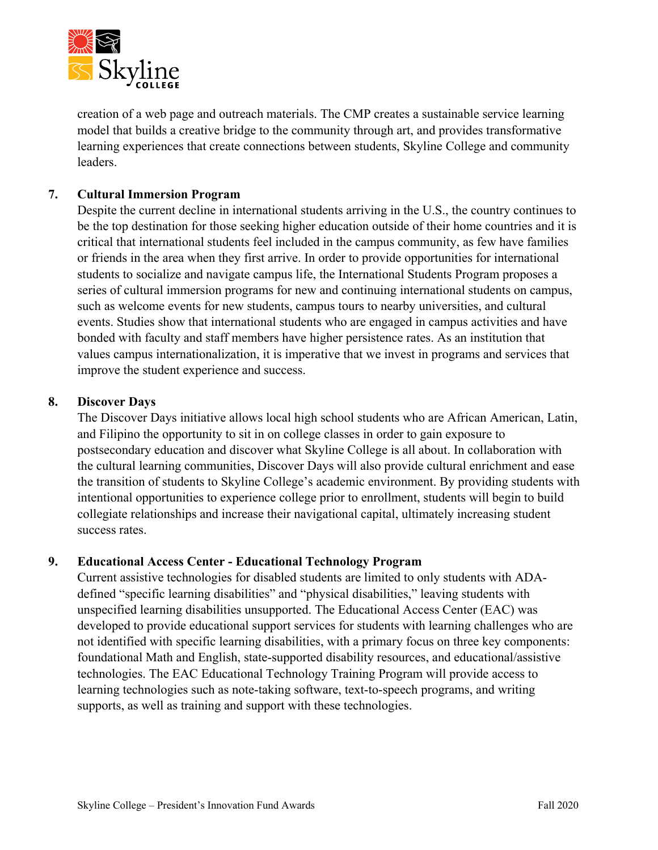

creation of a web page and outreach materials. The CMP creates a sustainable service learning model that builds a creative bridge to the community through art, and provides transformative learning experiences that create connections between students, Skyline College and community leaders.

# **7. Cultural Immersion Program**

Despite the current decline in international students arriving in the U.S., the country continues to be the top destination for those seeking higher education outside of their home countries and it is critical that international students feel included in the campus community, as few have families or friends in the area when they first arrive. In order to provide opportunities for international students to socialize and navigate campus life, the International Students Program proposes a series of cultural immersion programs for new and continuing international students on campus, such as welcome events for new students, campus tours to nearby universities, and cultural events. Studies show that international students who are engaged in campus activities and have bonded with faculty and staff members have higher persistence rates. As an institution that values campus internationalization, it is imperative that we invest in programs and services that improve the student experience and success.

## **8. Discover Days**

The Discover Days initiative allows local high school students who are African American, Latin, and Filipino the opportunity to sit in on college classes in order to gain exposure to postsecondary education and discover what Skyline College is all about. In collaboration with the cultural learning communities, Discover Days will also provide cultural enrichment and ease the transition of students to Skyline College's academic environment. By providing students with intentional opportunities to experience college prior to enrollment, students will begin to build collegiate relationships and increase their navigational capital, ultimately increasing student success rates.

#### **9. Educational Access Center - Educational Technology Program**

Current assistive technologies for disabled students are limited to only students with ADAdefined "specific learning disabilities" and "physical disabilities," leaving students with unspecified learning disabilities unsupported. The Educational Access Center (EAC) was developed to provide educational support services for students with learning challenges who are not identified with specific learning disabilities, with a primary focus on three key components: foundational Math and English, state-supported disability resources, and educational/assistive technologies. The EAC Educational Technology Training Program will provide access to learning technologies such as note-taking software, text-to-speech programs, and writing supports, as well as training and support with these technologies.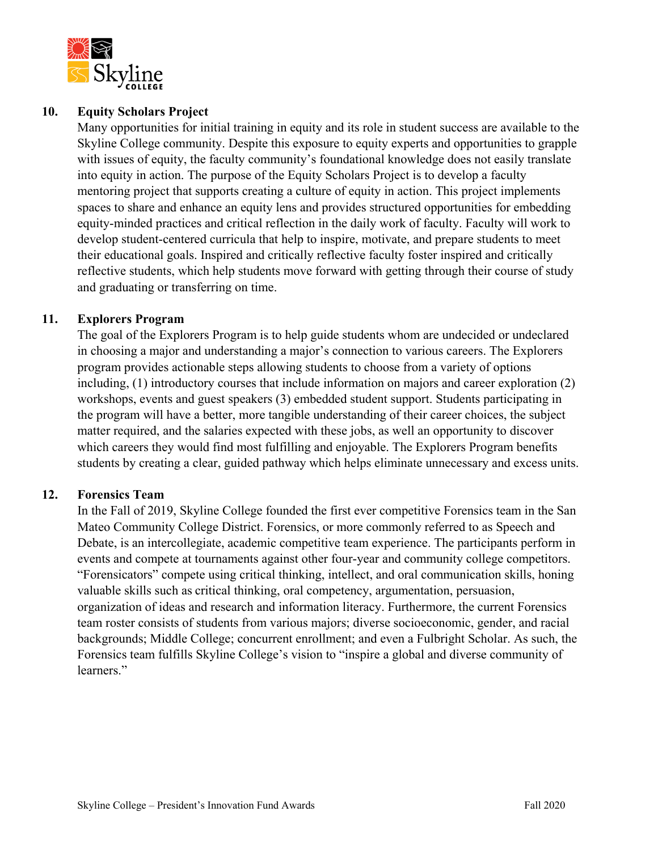

#### **10. Equity Scholars Project**

Many opportunities for initial training in equity and its role in student success are available to the Skyline College community. Despite this exposure to equity experts and opportunities to grapple with issues of equity, the faculty community's foundational knowledge does not easily translate into equity in action. The purpose of the Equity Scholars Project is to develop a faculty mentoring project that supports creating a culture of equity in action. This project implements spaces to share and enhance an equity lens and provides structured opportunities for embedding equity-minded practices and critical reflection in the daily work of faculty. Faculty will work to develop student-centered curricula that help to inspire, motivate, and prepare students to meet their educational goals. Inspired and critically reflective faculty foster inspired and critically reflective students, which help students move forward with getting through their course of study and graduating or transferring on time.

## **11. Explorers Program**

The goal of the Explorers Program is to help guide students whom are undecided or undeclared in choosing a major and understanding a major's connection to various careers. The Explorers program provides actionable steps allowing students to choose from a variety of options including, (1) introductory courses that include information on majors and career exploration (2) workshops, events and guest speakers (3) embedded student support. Students participating in the program will have a better, more tangible understanding of their career choices, the subject matter required, and the salaries expected with these jobs, as well an opportunity to discover which careers they would find most fulfilling and enjoyable. The Explorers Program benefits students by creating a clear, guided pathway which helps eliminate unnecessary and excess units.

#### **12. Forensics Team**

In the Fall of 2019, Skyline College founded the first ever competitive Forensics team in the San Mateo Community College District. Forensics, or more commonly referred to as Speech and Debate, is an intercollegiate, academic competitive team experience. The participants perform in events and compete at tournaments against other four-year and community college competitors. "Forensicators" compete using critical thinking, intellect, and oral communication skills, honing valuable skills such as critical thinking, oral competency, argumentation, persuasion, organization of ideas and research and information literacy. Furthermore, the current Forensics team roster consists of students from various majors; diverse socioeconomic, gender, and racial backgrounds; Middle College; concurrent enrollment; and even a Fulbright Scholar. As such, the Forensics team fulfills Skyline College's vision to "inspire a global and diverse community of learners."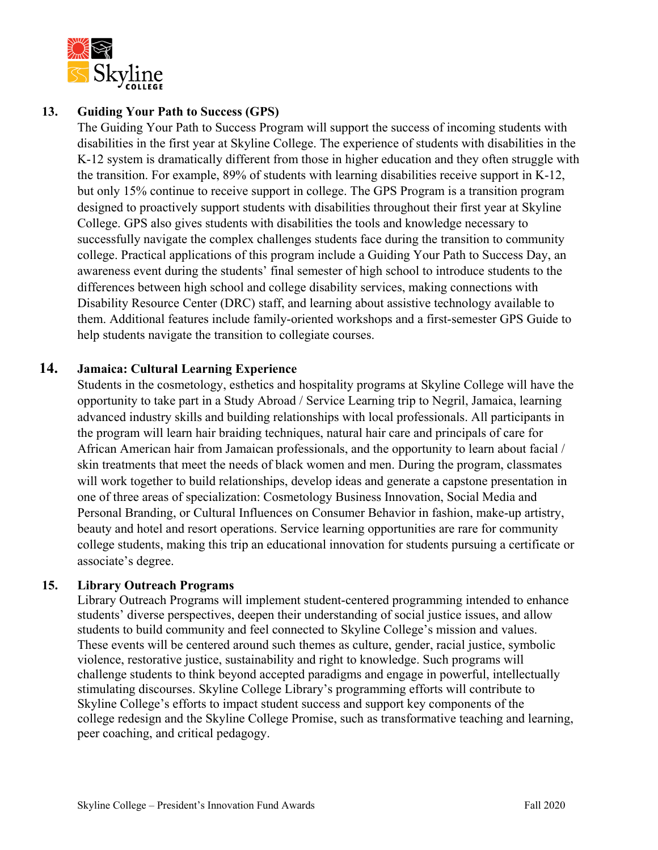

## **13. Guiding Your Path to Success (GPS)**

The Guiding Your Path to Success Program will support the success of incoming students with disabilities in the first year at Skyline College. The experience of students with disabilities in the K-12 system is dramatically different from those in higher education and they often struggle with the transition. For example, 89% of students with learning disabilities receive support in K-12, but only 15% continue to receive support in college. The GPS Program is a transition program designed to proactively support students with disabilities throughout their first year at Skyline College. GPS also gives students with disabilities the tools and knowledge necessary to successfully navigate the complex challenges students face during the transition to community college. Practical applications of this program include a Guiding Your Path to Success Day, an awareness event during the students' final semester of high school to introduce students to the differences between high school and college disability services, making connections with Disability Resource Center (DRC) staff, and learning about assistive technology available to them. Additional features include family-oriented workshops and a first-semester GPS Guide to help students navigate the transition to collegiate courses.

## **14. Jamaica: Cultural Learning Experience**

Students in the cosmetology, esthetics and hospitality programs at Skyline College will have the opportunity to take part in a Study Abroad / Service Learning trip to Negril, Jamaica, learning advanced industry skills and building relationships with local professionals. All participants in the program will learn hair braiding techniques, natural hair care and principals of care for African American hair from Jamaican professionals, and the opportunity to learn about facial / skin treatments that meet the needs of black women and men. During the program, classmates will work together to build relationships, develop ideas and generate a capstone presentation in one of three areas of specialization: Cosmetology Business Innovation, Social Media and Personal Branding, or Cultural Influences on Consumer Behavior in fashion, make-up artistry, beauty and hotel and resort operations. Service learning opportunities are rare for community college students, making this trip an educational innovation for students pursuing a certificate or associate's degree.

#### **15. Library Outreach Programs**

Library Outreach Programs will implement student-centered programming intended to enhance students' diverse perspectives, deepen their understanding of social justice issues, and allow students to build community and feel connected to Skyline College's mission and values. These events will be centered around such themes as culture, gender, racial justice, symbolic violence, restorative justice, sustainability and right to knowledge. Such programs will challenge students to think beyond accepted paradigms and engage in powerful, intellectually stimulating discourses. Skyline College Library's programming efforts will contribute to Skyline College's efforts to impact student success and support key components of the college redesign and the Skyline College Promise, such as transformative teaching and learning, peer coaching, and critical pedagogy.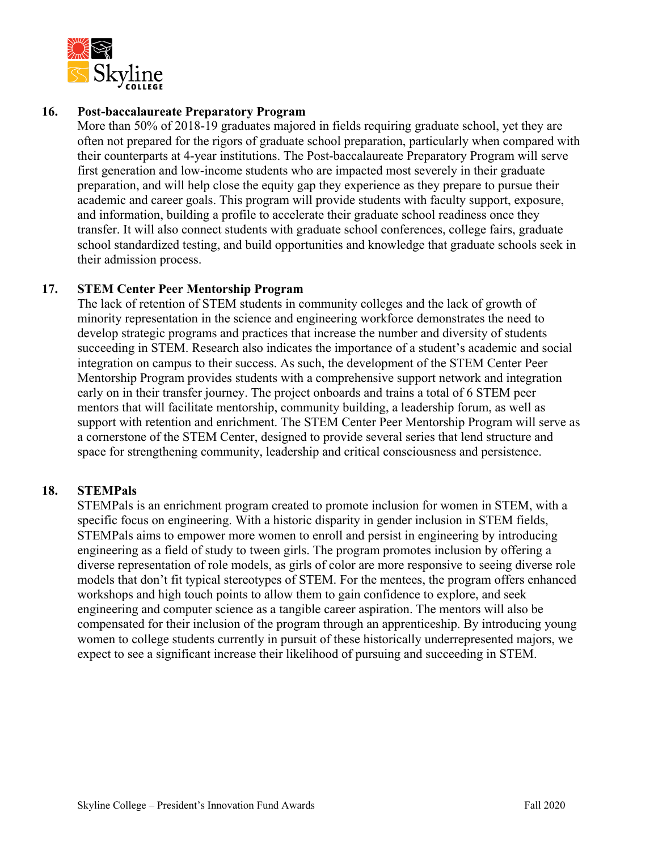

#### **16. Post-baccalaureate Preparatory Program**

More than 50% of 2018-19 graduates majored in fields requiring graduate school, yet they are often not prepared for the rigors of graduate school preparation, particularly when compared with their counterparts at 4-year institutions. The Post-baccalaureate Preparatory Program will serve first generation and low-income students who are impacted most severely in their graduate preparation, and will help close the equity gap they experience as they prepare to pursue their academic and career goals. This program will provide students with faculty support, exposure, and information, building a profile to accelerate their graduate school readiness once they transfer. It will also connect students with graduate school conferences, college fairs, graduate school standardized testing, and build opportunities and knowledge that graduate schools seek in their admission process.

#### **17. STEM Center Peer Mentorship Program**

The lack of retention of STEM students in community colleges and the lack of growth of minority representation in the science and engineering workforce demonstrates the need to develop strategic programs and practices that increase the number and diversity of students succeeding in STEM. Research also indicates the importance of a student's academic and social integration on campus to their success. As such, the development of the STEM Center Peer Mentorship Program provides students with a comprehensive support network and integration early on in their transfer journey. The project onboards and trains a total of 6 STEM peer mentors that will facilitate mentorship, community building, a leadership forum, as well as support with retention and enrichment. The STEM Center Peer Mentorship Program will serve as a cornerstone of the STEM Center, designed to provide several series that lend structure and space for strengthening community, leadership and critical consciousness and persistence.

# **18. STEMPals**

STEMPals is an enrichment program created to promote inclusion for women in STEM, with a specific focus on engineering. With a historic disparity in gender inclusion in STEM fields, STEMPals aims to empower more women to enroll and persist in engineering by introducing engineering as a field of study to tween girls. The program promotes inclusion by offering a diverse representation of role models, as girls of color are more responsive to seeing diverse role models that don't fit typical stereotypes of STEM. For the mentees, the program offers enhanced workshops and high touch points to allow them to gain confidence to explore, and seek engineering and computer science as a tangible career aspiration. The mentors will also be compensated for their inclusion of the program through an apprenticeship. By introducing young women to college students currently in pursuit of these historically underrepresented majors, we expect to see a significant increase their likelihood of pursuing and succeeding in STEM.